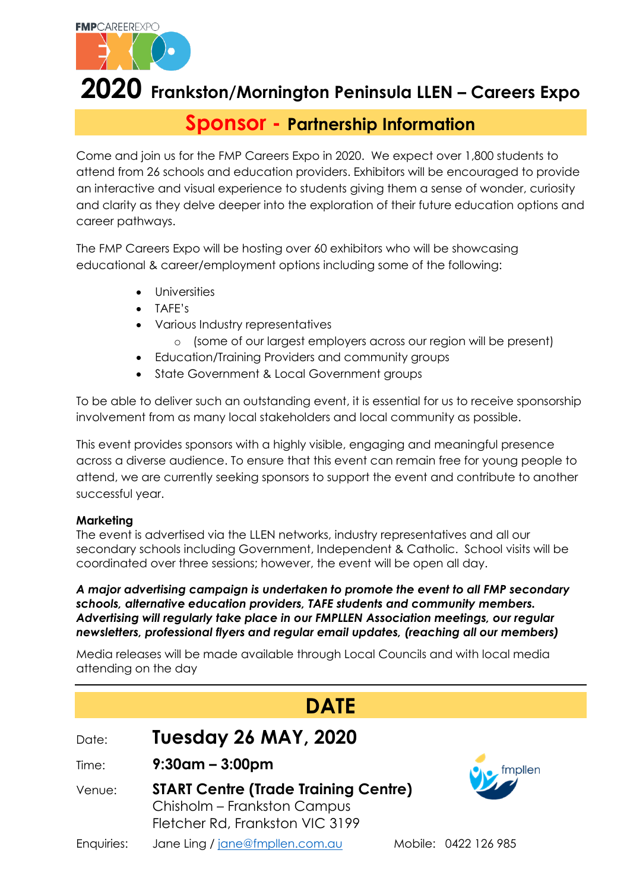

# **2020 Frankston/Mornington Peninsula LLEN – Careers Expo**

### **Sponsor - Partnership Information**

Come and join us for the FMP Careers Expo in 2020. We expect over 1,800 students to attend from 26 schools and education providers. Exhibitors will be encouraged to provide an interactive and visual experience to students giving them a sense of wonder, curiosity and clarity as they delve deeper into the exploration of their future education options and career pathways.

The FMP Careers Expo will be hosting over 60 exhibitors who will be showcasing educational & career/employment options including some of the following:

- **•** Universities
- TAFE's
- Various Industry representatives
	- o (some of our largest employers across our region will be present)
- Education/Training Providers and community groups
- State Government & Local Government groups

To be able to deliver such an outstanding event, it is essential for us to receive sponsorship involvement from as many local stakeholders and local community as possible.

This event provides sponsors with a highly visible, engaging and meaningful presence across a diverse audience. To ensure that this event can remain free for young people to attend, we are currently seeking sponsors to support the event and contribute to another successful year.

#### **Marketing**

The event is advertised via the LLEN networks, industry representatives and all our secondary schools including Government, Independent & Catholic. School visits will be coordinated over three sessions; however, the event will be open all day.

*A major advertising campaign is undertaken to promote the event to all FMP secondary schools, alternative education providers, TAFE students and community members. Advertising will regularly take place in our FMPLLEN Association meetings, our regular newsletters, professional flyers and regular email updates, (reaching all our members)*

Media releases will be made available through Local Councils and with local media attending on the day

| <b>DATE</b> |                                                                                                               |  |                      |  |
|-------------|---------------------------------------------------------------------------------------------------------------|--|----------------------|--|
| Date:       | <b>Tuesday 26 MAY, 2020</b>                                                                                   |  |                      |  |
| Time:       | $9:30$ am – 3:00pm                                                                                            |  | $\sum$ fmpllen       |  |
| Venue:      | <b>START Centre (Trade Training Centre)</b><br>Chisholm - Frankston Campus<br>Fletcher Rd, Frankston VIC 3199 |  |                      |  |
| Enquiries:  | Jane Ling / jane@fmpllen.com.au                                                                               |  | Mobile: 0422 126 985 |  |